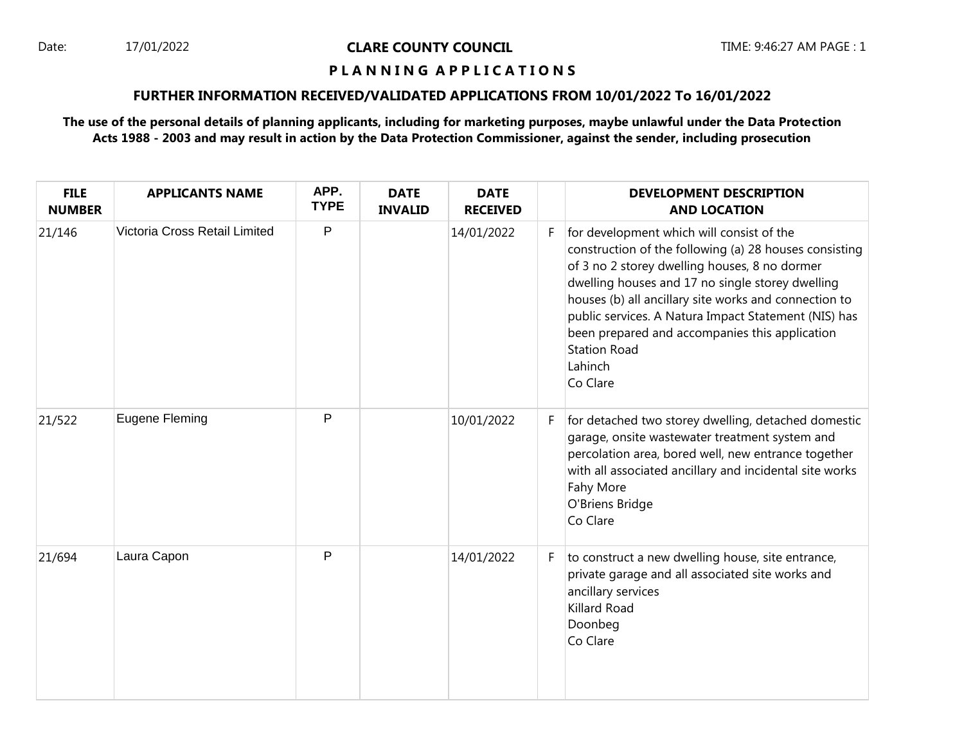### Date: 17/01/2022 **CLARE COUNTY COUNCIL** TIME: 9:46:27 AM PAGE : 1

### **P L A N N I N G A P P L I C A T I O N S**

## **FURTHER INFORMATION RECEIVED/VALIDATED APPLICATIONS FROM 10/01/2022 To 16/01/2022**

**The use of the personal details of planning applicants, including for marketing purposes, maybe unlawful under the Data Protection Acts 1988 - 2003 and may result in action by the Data Protection Commissioner, against the sender, including prosecution**

| <b>FILE</b><br><b>NUMBER</b> | <b>APPLICANTS NAME</b>        | APP.<br><b>TYPE</b> | <b>DATE</b><br><b>INVALID</b> | <b>DATE</b><br><b>RECEIVED</b> |    | <b>DEVELOPMENT DESCRIPTION</b><br><b>AND LOCATION</b>                                                                                                                                                                                                                                                                                                                                                                     |
|------------------------------|-------------------------------|---------------------|-------------------------------|--------------------------------|----|---------------------------------------------------------------------------------------------------------------------------------------------------------------------------------------------------------------------------------------------------------------------------------------------------------------------------------------------------------------------------------------------------------------------------|
| 21/146                       | Victoria Cross Retail Limited | P                   |                               | 14/01/2022                     | F. | for development which will consist of the<br>construction of the following (a) 28 houses consisting<br>of 3 no 2 storey dwelling houses, 8 no dormer<br>dwelling houses and 17 no single storey dwelling<br>houses (b) all ancillary site works and connection to<br>public services. A Natura Impact Statement (NIS) has<br>been prepared and accompanies this application<br><b>Station Road</b><br>Lahinch<br>Co Clare |
| 21/522                       | <b>Eugene Fleming</b>         | P                   |                               | 10/01/2022                     | F. | for detached two storey dwelling, detached domestic<br>garage, onsite wastewater treatment system and<br>percolation area, bored well, new entrance together<br>with all associated ancillary and incidental site works<br>Fahy More<br>O'Briens Bridge<br>Co Clare                                                                                                                                                       |
| 21/694                       | Laura Capon                   | P                   |                               | 14/01/2022                     | F. | to construct a new dwelling house, site entrance,<br>private garage and all associated site works and<br>ancillary services<br>Killard Road<br>Doonbeg<br>Co Clare                                                                                                                                                                                                                                                        |